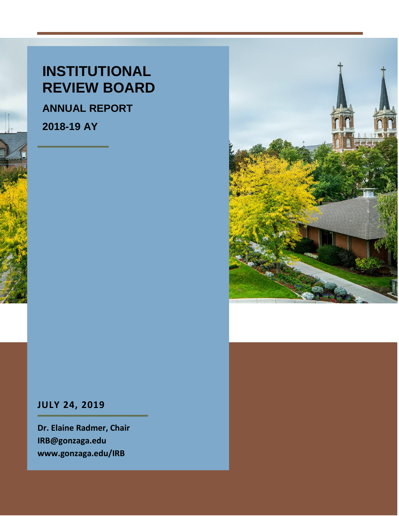# **INSTITUTIONAL REVIEW BOARD**

**ANNUAL REPORT**

**2018-19 AY**



# **JULY 24, 2019**

**Dr. Elaine Radmer, Chair IRB@gonzaga.edu www.gonzaga.edu/IRB**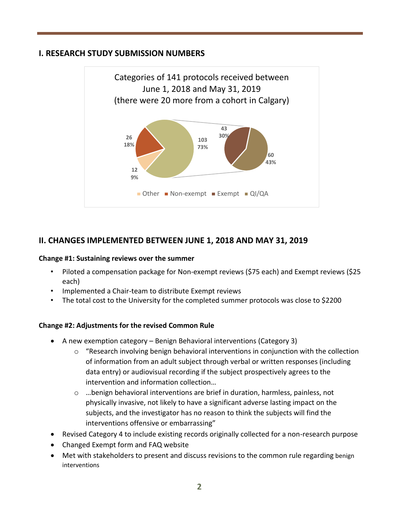#### **I. RESEARCH STUDY SUBMISSION NUMBERS**



### **II. CHANGES IMPLEMENTED BETWEEN JUNE 1, 2018 AND MAY 31, 2019**

#### **Change #1: Sustaining reviews over the summer**

- Piloted a compensation package for Non-exempt reviews (\$75 each) and Exempt reviews (\$25 each)
- Implemented a Chair-team to distribute Exempt reviews
- The total cost to the University for the completed summer protocols was close to \$2200

#### **Change #2: Adjustments for the revised Common Rule**

- A new exemption category Benign Behavioral interventions (Category 3)
	- o "Research involving benign behavioral interventions in conjunction with the collection of information from an adult subject through verbal or written responses (including data entry) or audiovisual recording if the subject prospectively agrees to the intervention and information collection…
	- $\circ$  ...benign behavioral interventions are brief in duration, harmless, painless, not physically invasive, not likely to have a significant adverse lasting impact on the subjects, and the investigator has no reason to think the subjects will find the interventions offensive or embarrassing"
- Revised Category 4 to include existing records originally collected for a non-research purpose
- Changed Exempt form and FAQ website
- Met with stakeholders to present and discuss revisions to the common rule regarding benign interventions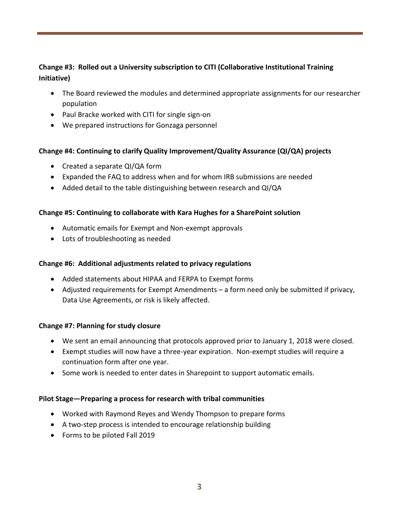#### **Change #3: Rolled out a University subscription to CITI (Collaborative Institutional Training Initiative)**

- The Board reviewed the modules and determined appropriate assignments for our researcher population
- Paul Bracke worked with CITI for single sign-on
- We prepared instructions for Gonzaga personnel

#### **Change #4: Continuing to clarify Quality Improvement/Quality Assurance (QI/QA) projects**

- Created a separate QI/QA form
- Expanded the FAQ to address when and for whom IRB submissions are needed
- Added detail to the table distinguishing between research and QI/QA

#### **Change #5: Continuing to collaborate with Kara Hughes for a SharePoint solution**

- Automatic emails for Exempt and Non-exempt approvals
- Lots of troubleshooting as needed

#### **Change #6: Additional adjustments related to privacy regulations**

- Added statements about HIPAA and FERPA to Exempt forms
- Adjusted requirements for Exempt Amendments a form need only be submitted if privacy, Data Use Agreements, or risk is likely affected.

#### **Change #7: Planning for study closure**

- We sent an email announcing that protocols approved prior to January 1, 2018 were closed.
- Exempt studies will now have a three-year expiration. Non-exempt studies will require a continuation form after one year.
- Some work is needed to enter dates in Sharepoint to support automatic emails.

#### **Pilot Stage—Preparing a process for research with tribal communities**

- Worked with Raymond Reyes and Wendy Thompson to prepare forms
- A two-step process is intended to encourage relationship building
- Forms to be piloted Fall 2019